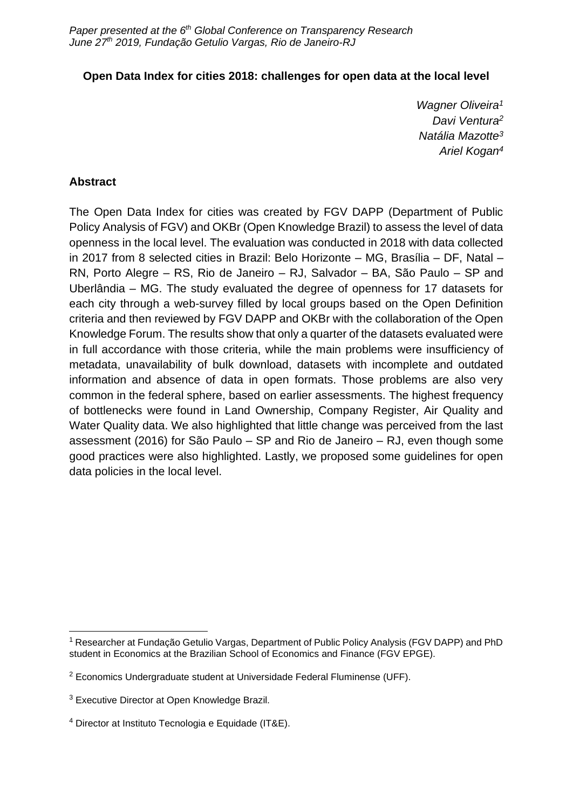#### **Open Data Index for cities 2018: challenges for open data at the local level**

*Wagner Oliveira<sup>1</sup> Davi Ventura<sup>2</sup> Natália Mazotte<sup>3</sup> Ariel Kogan<sup>4</sup>*

#### **Abstract**

The Open Data Index for cities was created by FGV DAPP (Department of Public Policy Analysis of FGV) and OKBr (Open Knowledge Brazil) to assess the level of data openness in the local level. The evaluation was conducted in 2018 with data collected in 2017 from 8 selected cities in Brazil: Belo Horizonte – MG, Brasília – DF, Natal – RN, Porto Alegre – RS, Rio de Janeiro – RJ, Salvador – BA, São Paulo – SP and Uberlândia – MG. The study evaluated the degree of openness for 17 datasets for each city through a web-survey filled by local groups based on the Open Definition criteria and then reviewed by FGV DAPP and OKBr with the collaboration of the Open Knowledge Forum. The results show that only a quarter of the datasets evaluated were in full accordance with those criteria, while the main problems were insufficiency of metadata, unavailability of bulk download, datasets with incomplete and outdated information and absence of data in open formats. Those problems are also very common in the federal sphere, based on earlier assessments. The highest frequency of bottlenecks were found in Land Ownership, Company Register, Air Quality and Water Quality data. We also highlighted that little change was perceived from the last assessment (2016) for São Paulo – SP and Rio de Janeiro – RJ, even though some good practices were also highlighted. Lastly, we proposed some guidelines for open data policies in the local level.

<sup>&</sup>lt;sup>1</sup> Researcher at Fundação Getulio Vargas, Department of Public Policy Analysis (FGV DAPP) and PhD student in Economics at the Brazilian School of Economics and Finance (FGV EPGE).

<sup>2</sup> Economics Undergraduate student at Universidade Federal Fluminense (UFF).

<sup>3</sup> Executive Director at Open Knowledge Brazil.

<sup>4</sup> Director at Instituto Tecnologia e Equidade (IT&E).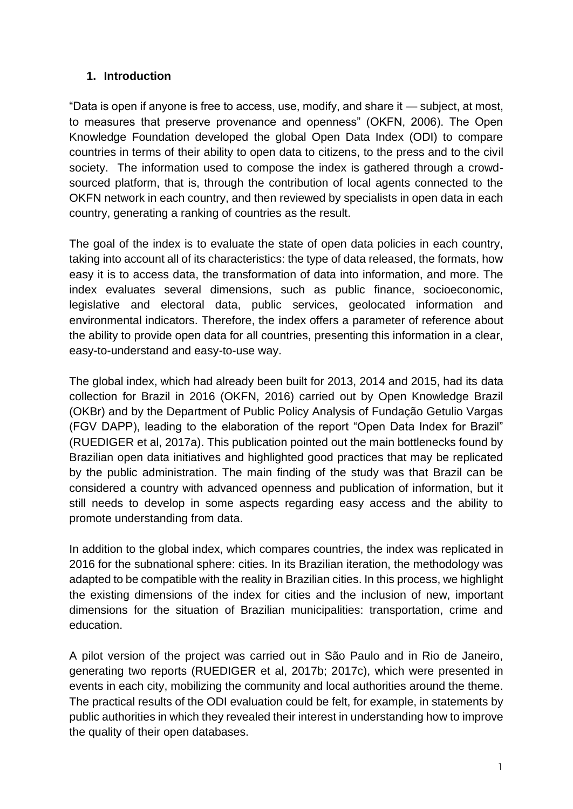## **1. Introduction**

"Data is open if anyone is free to access, use, modify, and share it — subject, at most, to measures that preserve provenance and openness" (OKFN, 2006). The Open Knowledge Foundation developed the global Open Data Index (ODI) to compare countries in terms of their ability to open data to citizens, to the press and to the civil society. The information used to compose the index is gathered through a crowdsourced platform, that is, through the contribution of local agents connected to the OKFN network in each country, and then reviewed by specialists in open data in each country, generating a ranking of countries as the result.

The goal of the index is to evaluate the state of open data policies in each country, taking into account all of its characteristics: the type of data released, the formats, how easy it is to access data, the transformation of data into information, and more. The index evaluates several dimensions, such as public finance, socioeconomic, legislative and electoral data, public services, geolocated information and environmental indicators. Therefore, the index offers a parameter of reference about the ability to provide open data for all countries, presenting this information in a clear, easy-to-understand and easy-to-use way.

The global index, which had already been built for 2013, 2014 and 2015, had its data collection for Brazil in 2016 (OKFN, 2016) carried out by Open Knowledge Brazil (OKBr) and by the Department of Public Policy Analysis of Fundação Getulio Vargas (FGV DAPP), leading to the elaboration of the report "Open Data Index for Brazil" (RUEDIGER et al, 2017a). This publication pointed out the main bottlenecks found by Brazilian open data initiatives and highlighted good practices that may be replicated by the public administration. The main finding of the study was that Brazil can be considered a country with advanced openness and publication of information, but it still needs to develop in some aspects regarding easy access and the ability to promote understanding from data.

In addition to the global index, which compares countries, the index was replicated in 2016 for the subnational sphere: cities. In its Brazilian iteration, the methodology was adapted to be compatible with the reality in Brazilian cities. In this process, we highlight the existing dimensions of the index for cities and the inclusion of new, important dimensions for the situation of Brazilian municipalities: transportation, crime and education.

A pilot version of the project was carried out in São Paulo and in Rio de Janeiro, generating two reports (RUEDIGER et al, 2017b; 2017c), which were presented in events in each city, mobilizing the community and local authorities around the theme. The practical results of the ODI evaluation could be felt, for example, in statements by public authorities in which they revealed their interest in understanding how to improve the quality of their open databases.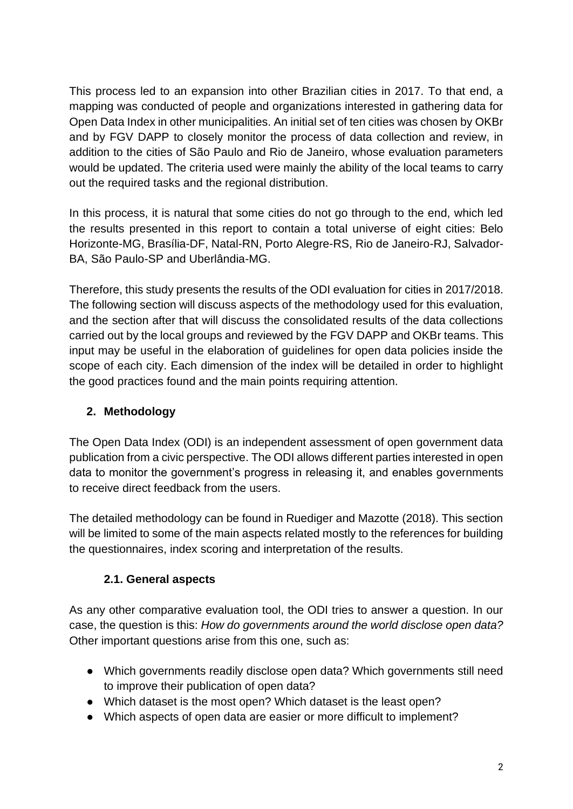This process led to an expansion into other Brazilian cities in 2017. To that end, a mapping was conducted of people and organizations interested in gathering data for Open Data Index in other municipalities. An initial set of ten cities was chosen by OKBr and by FGV DAPP to closely monitor the process of data collection and review, in addition to the cities of São Paulo and Rio de Janeiro, whose evaluation parameters would be updated. The criteria used were mainly the ability of the local teams to carry out the required tasks and the regional distribution.

In this process, it is natural that some cities do not go through to the end, which led the results presented in this report to contain a total universe of eight cities: Belo Horizonte-MG, Brasília-DF, Natal-RN, Porto Alegre-RS, Rio de Janeiro-RJ, Salvador-BA, São Paulo-SP and Uberlândia-MG.

Therefore, this study presents the results of the ODI evaluation for cities in 2017/2018. The following section will discuss aspects of the methodology used for this evaluation, and the section after that will discuss the consolidated results of the data collections carried out by the local groups and reviewed by the FGV DAPP and OKBr teams. This input may be useful in the elaboration of guidelines for open data policies inside the scope of each city. Each dimension of the index will be detailed in order to highlight the good practices found and the main points requiring attention.

# **2. Methodology**

The Open Data Index (ODI) is an independent assessment of open government data publication from a civic perspective. The ODI allows different parties interested in open data to monitor the government's progress in releasing it, and enables governments to receive direct feedback from the users.

The detailed methodology can be found in Ruediger and Mazotte (2018). This section will be limited to some of the main aspects related mostly to the references for building the questionnaires, index scoring and interpretation of the results.

## **2.1. General aspects**

As any other comparative evaluation tool, the ODI tries to answer a question. In our case, the question is this: *How do governments around the world disclose open data?* Other important questions arise from this one, such as:

- Which governments readily disclose open data? Which governments still need to improve their publication of open data?
- Which dataset is the most open? Which dataset is the least open?
- Which aspects of open data are easier or more difficult to implement?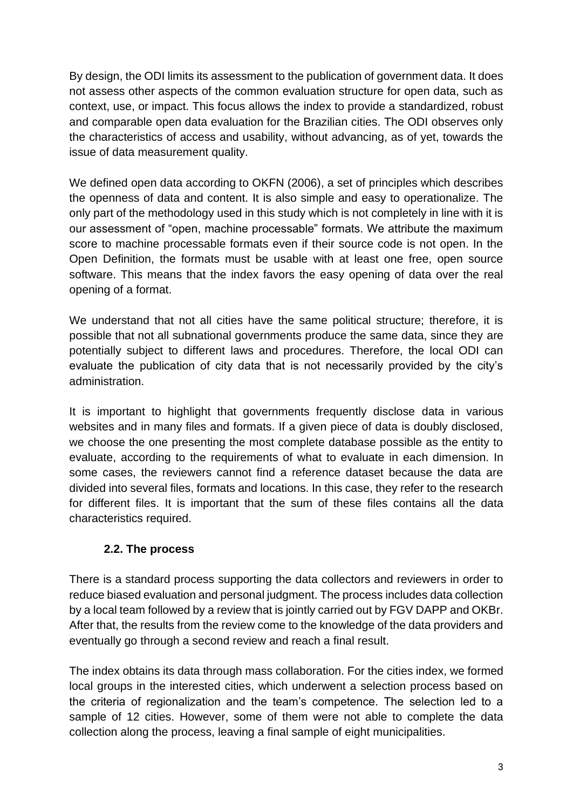By design, the ODI limits its assessment to the publication of government data. It does not assess other aspects of the common evaluation structure for open data, such as context, use, or impact. This focus allows the index to provide a standardized, robust and comparable open data evaluation for the Brazilian cities. The ODI observes only the characteristics of access and usability, without advancing, as of yet, towards the issue of data measurement quality.

We defined open data according to OKFN (2006), a set of principles which describes the openness of data and content. It is also simple and easy to operationalize. The only part of the methodology used in this study which is not completely in line with it is our assessment of "open, machine processable" formats. We attribute the maximum score to machine processable formats even if their source code is not open. In the Open Definition, the formats must be usable with at least one free, open source software. This means that the index favors the easy opening of data over the real opening of a format.

We understand that not all cities have the same political structure; therefore, it is possible that not all subnational governments produce the same data, since they are potentially subject to different laws and procedures. Therefore, the local ODI can evaluate the publication of city data that is not necessarily provided by the city's administration.

It is important to highlight that governments frequently disclose data in various websites and in many files and formats. If a given piece of data is doubly disclosed, we choose the one presenting the most complete database possible as the entity to evaluate, according to the requirements of what to evaluate in each dimension. In some cases, the reviewers cannot find a reference dataset because the data are divided into several files, formats and locations. In this case, they refer to the research for different files. It is important that the sum of these files contains all the data characteristics required.

## **2.2. The process**

There is a standard process supporting the data collectors and reviewers in order to reduce biased evaluation and personal judgment. The process includes data collection by a local team followed by a review that is jointly carried out by FGV DAPP and OKBr. After that, the results from the review come to the knowledge of the data providers and eventually go through a second review and reach a final result.

The index obtains its data through mass collaboration. For the cities index, we formed local groups in the interested cities, which underwent a selection process based on the criteria of regionalization and the team's competence. The selection led to a sample of 12 cities. However, some of them were not able to complete the data collection along the process, leaving a final sample of eight municipalities.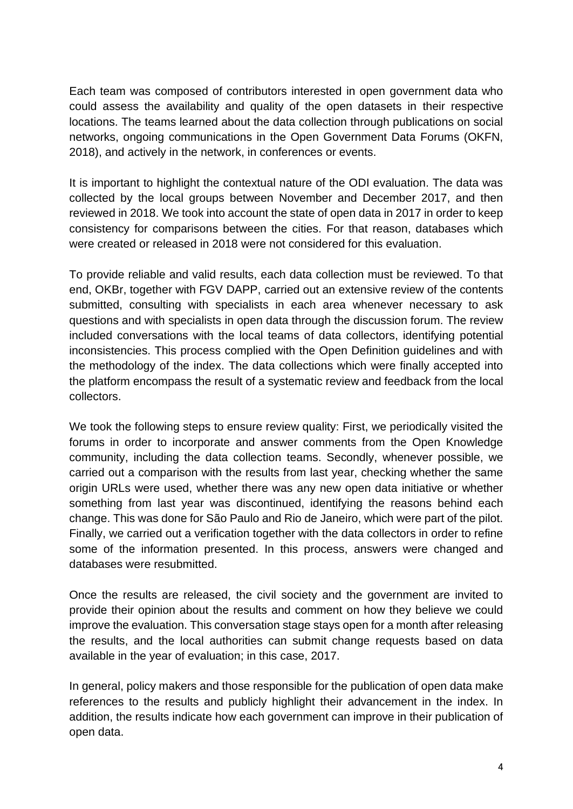Each team was composed of contributors interested in open government data who could assess the availability and quality of the open datasets in their respective locations. The teams learned about the data collection through publications on social networks, ongoing communications in the Open Government Data Forums (OKFN, 2018), and actively in the network, in conferences or events.

It is important to highlight the contextual nature of the ODI evaluation. The data was collected by the local groups between November and December 2017, and then reviewed in 2018. We took into account the state of open data in 2017 in order to keep consistency for comparisons between the cities. For that reason, databases which were created or released in 2018 were not considered for this evaluation.

To provide reliable and valid results, each data collection must be reviewed. To that end, OKBr, together with FGV DAPP, carried out an extensive review of the contents submitted, consulting with specialists in each area whenever necessary to ask questions and with specialists in open data through the discussion forum. The review included conversations with the local teams of data collectors, identifying potential inconsistencies. This process complied with the Open Definition guidelines and with the methodology of the index. The data collections which were finally accepted into the platform encompass the result of a systematic review and feedback from the local collectors.

We took the following steps to ensure review quality: First, we periodically visited the forums in order to incorporate and answer comments from the Open Knowledge community, including the data collection teams. Secondly, whenever possible, we carried out a comparison with the results from last year, checking whether the same origin URLs were used, whether there was any new open data initiative or whether something from last year was discontinued, identifying the reasons behind each change. This was done for São Paulo and Rio de Janeiro, which were part of the pilot. Finally, we carried out a verification together with the data collectors in order to refine some of the information presented. In this process, answers were changed and databases were resubmitted.

Once the results are released, the civil society and the government are invited to provide their opinion about the results and comment on how they believe we could improve the evaluation. This conversation stage stays open for a month after releasing the results, and the local authorities can submit change requests based on data available in the year of evaluation; in this case, 2017.

In general, policy makers and those responsible for the publication of open data make references to the results and publicly highlight their advancement in the index. In addition, the results indicate how each government can improve in their publication of open data.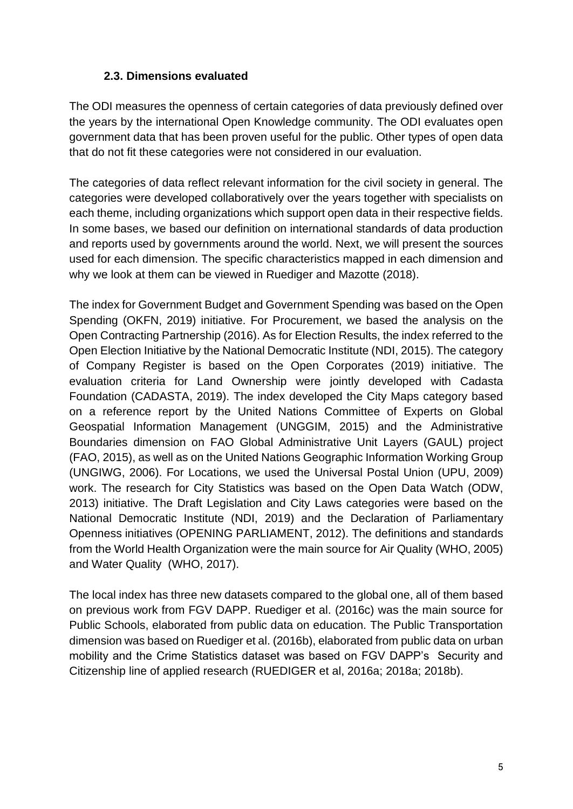### **2.3. Dimensions evaluated**

The ODI measures the openness of certain categories of data previously defined over the years by the international Open Knowledge community. The ODI evaluates open government data that has been proven useful for the public. Other types of open data that do not fit these categories were not considered in our evaluation.

The categories of data reflect relevant information for the civil society in general. The categories were developed collaboratively over the years together with specialists on each theme, including organizations which support open data in their respective fields. In some bases, we based our definition on international standards of data production and reports used by governments around the world. Next, we will present the sources used for each dimension. The specific characteristics mapped in each dimension and why we look at them can be viewed in Ruediger and Mazotte (2018).

The index for Government Budget and Government Spending was based on the Open Spending (OKFN, 2019) initiative. For Procurement, we based the analysis on the Open Contracting Partnership (2016). As for Election Results, the index referred to the Open Election Initiative by the National Democratic Institute (NDI, 2015). The category of Company Register is based on the Open Corporates (2019) initiative. The evaluation criteria for Land Ownership were jointly developed with Cadasta Foundation (CADASTA, 2019). The index developed the City Maps category based on a reference report by the United Nations Committee of Experts on Global Geospatial Information Management (UNGGIM, 2015) and the Administrative Boundaries dimension on FAO Global Administrative Unit Layers (GAUL) project (FAO, 2015), as well as on the United Nations Geographic Information Working Group (UNGIWG, 2006). For Locations, we used the Universal Postal Union (UPU, 2009) work. The research for City Statistics was based on the Open Data Watch (ODW, 2013) initiative. The Draft Legislation and City Laws categories were based on the National Democratic Institute (NDI, 2019) and the Declaration of Parliamentary Openness initiatives (OPENING PARLIAMENT, 2012). The definitions and standards from the World Health Organization were the main source for Air Quality (WHO, 2005) and Water Quality (WHO, 2017).

The local index has three new datasets compared to the global one, all of them based on previous work from FGV DAPP. Ruediger et al. (2016c) was the main source for Public Schools, elaborated from public data on education. The Public Transportation dimension was based on Ruediger et al. (2016b), elaborated from public data on urban mobility and the Crime Statistics dataset was based on FGV DAPP's Security and Citizenship line of applied research (RUEDIGER et al, 2016a; 2018a; 2018b).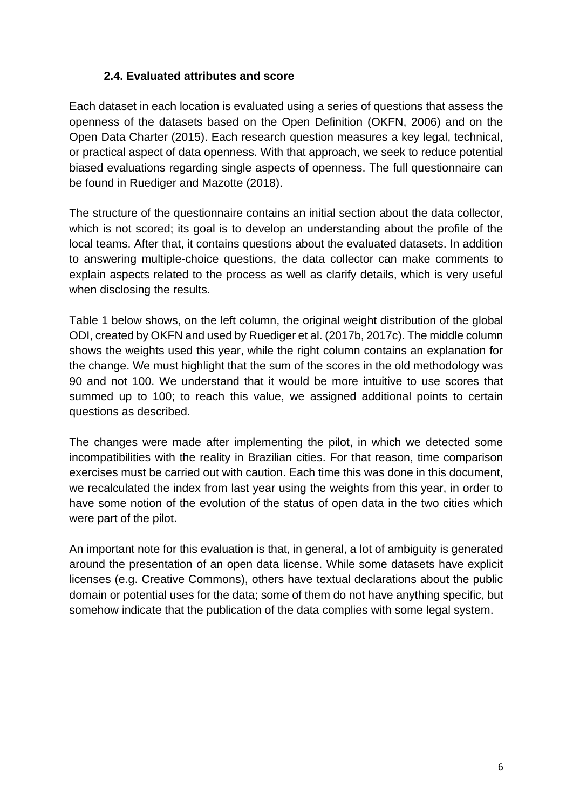### **2.4. Evaluated attributes and score**

Each dataset in each location is evaluated using a series of questions that assess the openness of the datasets based on the Open Definition (OKFN, 2006) and on the Open Data Charter (2015). Each research question measures a key legal, technical, or practical aspect of data openness. With that approach, we seek to reduce potential biased evaluations regarding single aspects of openness. The full questionnaire can be found in Ruediger and Mazotte (2018).

The structure of the questionnaire contains an initial section about the data collector, which is not scored; its goal is to develop an understanding about the profile of the local teams. After that, it contains questions about the evaluated datasets. In addition to answering multiple-choice questions, the data collector can make comments to explain aspects related to the process as well as clarify details, which is very useful when disclosing the results.

Table 1 below shows, on the left column, the original weight distribution of the global ODI, created by OKFN and used by Ruediger et al. (2017b, 2017c). The middle column shows the weights used this year, while the right column contains an explanation for the change. We must highlight that the sum of the scores in the old methodology was 90 and not 100. We understand that it would be more intuitive to use scores that summed up to 100; to reach this value, we assigned additional points to certain questions as described.

The changes were made after implementing the pilot, in which we detected some incompatibilities with the reality in Brazilian cities. For that reason, time comparison exercises must be carried out with caution. Each time this was done in this document, we recalculated the index from last year using the weights from this year, in order to have some notion of the evolution of the status of open data in the two cities which were part of the pilot.

An important note for this evaluation is that, in general, a lot of ambiguity is generated around the presentation of an open data license. While some datasets have explicit licenses (e.g. Creative Commons), others have textual declarations about the public domain or potential uses for the data; some of them do not have anything specific, but somehow indicate that the publication of the data complies with some legal system.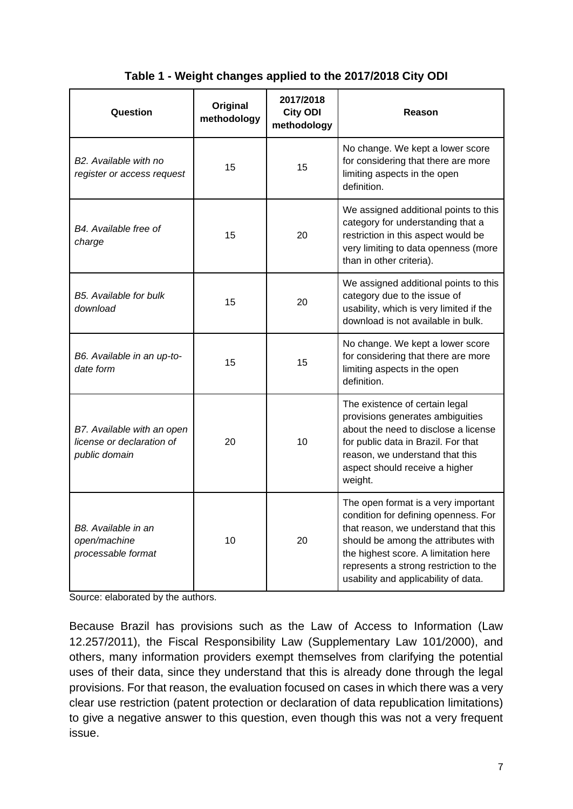| Table 1 - Weight changes applied to the 2017/2018 City ODI |  |  |
|------------------------------------------------------------|--|--|
|------------------------------------------------------------|--|--|

| Question                                                                 | Original<br>methodology | 2017/2018<br><b>City ODI</b><br>methodology | Reason                                                                                                                                                                                                                                                                               |
|--------------------------------------------------------------------------|-------------------------|---------------------------------------------|--------------------------------------------------------------------------------------------------------------------------------------------------------------------------------------------------------------------------------------------------------------------------------------|
| B <sub>2</sub> . Available with no<br>register or access request         | 15                      | 15                                          | No change. We kept a lower score<br>for considering that there are more<br>limiting aspects in the open<br>definition.                                                                                                                                                               |
| B4. Available free of<br>15<br>20<br>charge                              |                         |                                             | We assigned additional points to this<br>category for understanding that a<br>restriction in this aspect would be<br>very limiting to data openness (more<br>than in other criteria).                                                                                                |
| B5. Available for bulk<br>download                                       | 15                      | 20                                          | We assigned additional points to this<br>category due to the issue of<br>usability, which is very limited if the<br>download is not available in bulk.                                                                                                                               |
| B6. Available in an up-to-<br>date form                                  | 15                      | 15                                          | No change. We kept a lower score<br>for considering that there are more<br>limiting aspects in the open<br>definition.                                                                                                                                                               |
| B7. Available with an open<br>license or declaration of<br>public domain | 20                      | 10                                          | The existence of certain legal<br>provisions generates ambiguities<br>about the need to disclose a license<br>for public data in Brazil. For that<br>reason, we understand that this<br>aspect should receive a higher<br>weight.                                                    |
| B8. Available in an<br>open/machine<br>processable format                | 10                      | 20                                          | The open format is a very important<br>condition for defining openness. For<br>that reason, we understand that this<br>should be among the attributes with<br>the highest score. A limitation here<br>represents a strong restriction to the<br>usability and applicability of data. |

Source: elaborated by the authors.

Because Brazil has provisions such as the Law of Access to Information (Law 12.257/2011), the Fiscal Responsibility Law (Supplementary Law 101/2000), and others, many information providers exempt themselves from clarifying the potential uses of their data, since they understand that this is already done through the legal provisions. For that reason, the evaluation focused on cases in which there was a very clear use restriction (patent protection or declaration of data republication limitations) to give a negative answer to this question, even though this was not a very frequent issue.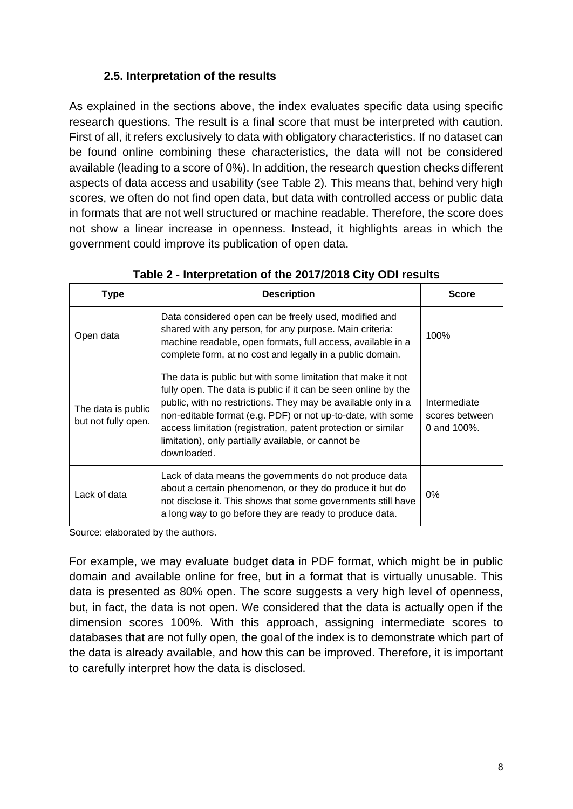## **2.5. Interpretation of the results**

As explained in the sections above, the index evaluates specific data using specific research questions. The result is a final score that must be interpreted with caution. First of all, it refers exclusively to data with obligatory characteristics. If no dataset can be found online combining these characteristics, the data will not be considered available (leading to a score of 0%). In addition, the research question checks different aspects of data access and usability (see Table 2). This means that, behind very high scores, we often do not find open data, but data with controlled access or public data in formats that are not well structured or machine readable. Therefore, the score does not show a linear increase in openness. Instead, it highlights areas in which the government could improve its publication of open data.

| Type                                      | <b>Description</b>                                                                                                                                                                                                                                                                                                                                                                                    | <b>Score</b>                                      |
|-------------------------------------------|-------------------------------------------------------------------------------------------------------------------------------------------------------------------------------------------------------------------------------------------------------------------------------------------------------------------------------------------------------------------------------------------------------|---------------------------------------------------|
| Open data                                 | Data considered open can be freely used, modified and<br>shared with any person, for any purpose. Main criteria:<br>machine readable, open formats, full access, available in a<br>complete form, at no cost and legally in a public domain.                                                                                                                                                          | 100%                                              |
| The data is public<br>but not fully open. | The data is public but with some limitation that make it not<br>fully open. The data is public if it can be seen online by the<br>public, with no restrictions. They may be available only in a<br>non-editable format (e.g. PDF) or not up-to-date, with some<br>access limitation (registration, patent protection or similar<br>limitation), only partially available, or cannot be<br>downloaded. | Intermediate<br>scores between<br>0 and $100\%$ . |
| Lack of data                              | Lack of data means the governments do not produce data<br>about a certain phenomenon, or they do produce it but do<br>not disclose it. This shows that some governments still have<br>a long way to go before they are ready to produce data.                                                                                                                                                         | 0%                                                |

**Table 2 - Interpretation of the 2017/2018 City ODI results**

Source: elaborated by the authors.

For example, we may evaluate budget data in PDF format, which might be in public domain and available online for free, but in a format that is virtually unusable. This data is presented as 80% open. The score suggests a very high level of openness, but, in fact, the data is not open. We considered that the data is actually open if the dimension scores 100%. With this approach, assigning intermediate scores to databases that are not fully open, the goal of the index is to demonstrate which part of the data is already available, and how this can be improved. Therefore, it is important to carefully interpret how the data is disclosed.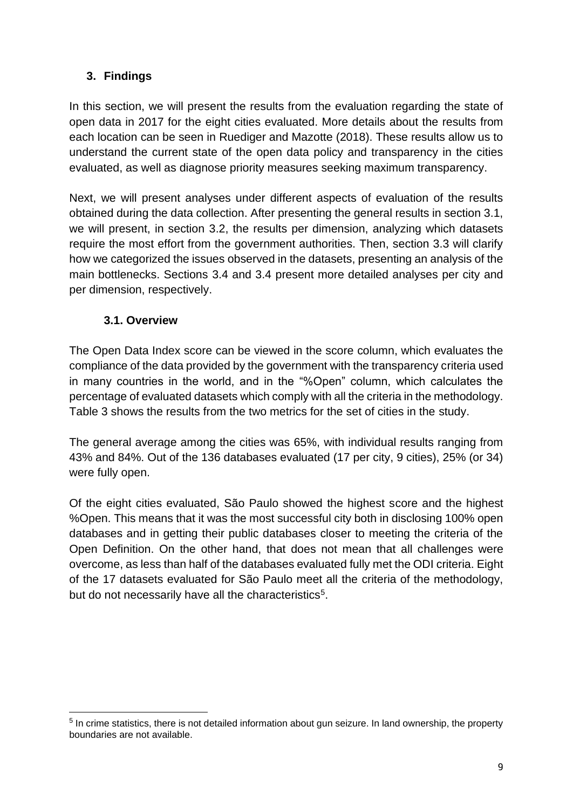# **3. Findings**

In this section, we will present the results from the evaluation regarding the state of open data in 2017 for the eight cities evaluated. More details about the results from each location can be seen in Ruediger and Mazotte (2018). These results allow us to understand the current state of the open data policy and transparency in the cities evaluated, as well as diagnose priority measures seeking maximum transparency.

Next, we will present analyses under different aspects of evaluation of the results obtained during the data collection. After presenting the general results in section 3.1, we will present, in section 3.2, the results per dimension, analyzing which datasets require the most effort from the government authorities. Then, section 3.3 will clarify how we categorized the issues observed in the datasets, presenting an analysis of the main bottlenecks. Sections 3.4 and 3.4 present more detailed analyses per city and per dimension, respectively.

## **3.1. Overview**

The Open Data Index score can be viewed in the score column, which evaluates the compliance of the data provided by the government with the transparency criteria used in many countries in the world, and in the "%Open" column, which calculates the percentage of evaluated datasets which comply with all the criteria in the methodology. Table 3 shows the results from the two metrics for the set of cities in the study.

The general average among the cities was 65%, with individual results ranging from 43% and 84%. Out of the 136 databases evaluated (17 per city, 9 cities), 25% (or 34) were fully open.

Of the eight cities evaluated, São Paulo showed the highest score and the highest %Open. This means that it was the most successful city both in disclosing 100% open databases and in getting their public databases closer to meeting the criteria of the Open Definition. On the other hand, that does not mean that all challenges were overcome, as less than half of the databases evaluated fully met the ODI criteria. Eight of the 17 datasets evaluated for São Paulo meet all the criteria of the methodology, but do not necessarily have all the characteristics<sup>5</sup>.

<sup>&</sup>lt;sup>5</sup> In crime statistics, there is not detailed information about gun seizure. In land ownership, the property boundaries are not available.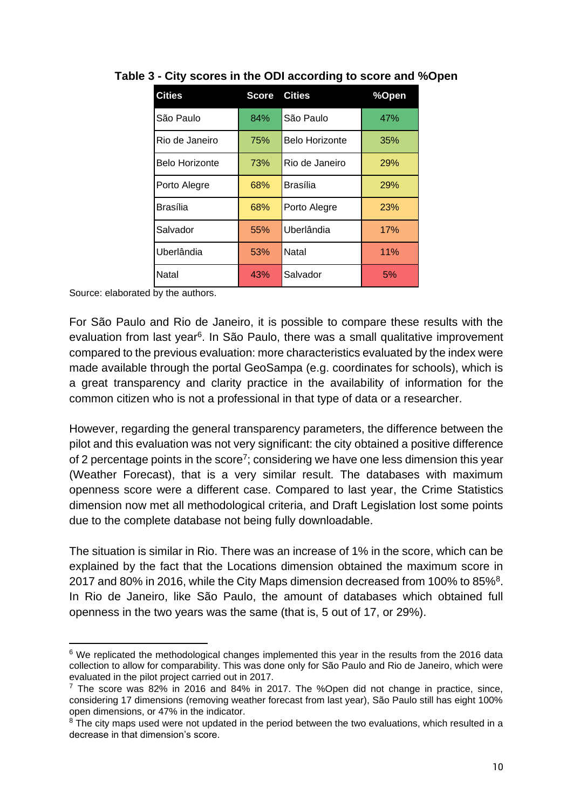| <b>Cities</b>         | <b>Score</b> | <b>Cities</b>  | %Open      |
|-----------------------|--------------|----------------|------------|
| São Paulo             | 84%          | São Paulo      | 47%        |
| Rio de Janeiro        | 75%          | Belo Horizonte | 35%        |
| <b>Belo Horizonte</b> | 73%          | Rio de Janeiro | <b>29%</b> |
| Porto Alegre          | 68%          | Brasília       | <b>29%</b> |
| Brasília              | 68%          | Porto Alegre   | <b>23%</b> |
| Salvador              | 55%          | Uberlândia     | 17%        |
| Uberlândia            | 53%          | Natal          | 11%        |
| Natal                 | 43%          | Salvador       | 5%         |

## **Table 3 - City scores in the ODI according to score and %Open**

Source: elaborated by the authors.

For São Paulo and Rio de Janeiro, it is possible to compare these results with the evaluation from last year<sup>6</sup>. In São Paulo, there was a small qualitative improvement compared to the previous evaluation: more characteristics evaluated by the index were made available through the portal GeoSampa (e.g. coordinates for schools), which is a great transparency and clarity practice in the availability of information for the common citizen who is not a professional in that type of data or a researcher.

However, regarding the general transparency parameters, the difference between the pilot and this evaluation was not very significant: the city obtained a positive difference of 2 percentage points in the score<sup>7</sup>; considering we have one less dimension this year (Weather Forecast), that is a very similar result. The databases with maximum openness score were a different case. Compared to last year, the Crime Statistics dimension now met all methodological criteria, and Draft Legislation lost some points due to the complete database not being fully downloadable.

The situation is similar in Rio. There was an increase of 1% in the score, which can be explained by the fact that the Locations dimension obtained the maximum score in 2017 and 80% in 2016, while the City Maps dimension decreased from 100% to 85%<sup>8</sup>. In Rio de Janeiro, like São Paulo, the amount of databases which obtained full openness in the two years was the same (that is, 5 out of 17, or 29%).

<sup>&</sup>lt;sup>6</sup> We replicated the methodological changes implemented this year in the results from the 2016 data collection to allow for comparability. This was done only for São Paulo and Rio de Janeiro, which were evaluated in the pilot project carried out in 2017.

 $7$  The score was 82% in 2016 and 84% in 2017. The %Open did not change in practice, since, considering 17 dimensions (removing weather forecast from last year), São Paulo still has eight 100% open dimensions, or 47% in the indicator.

 $8$  The city maps used were not updated in the period between the two evaluations, which resulted in a decrease in that dimension's score.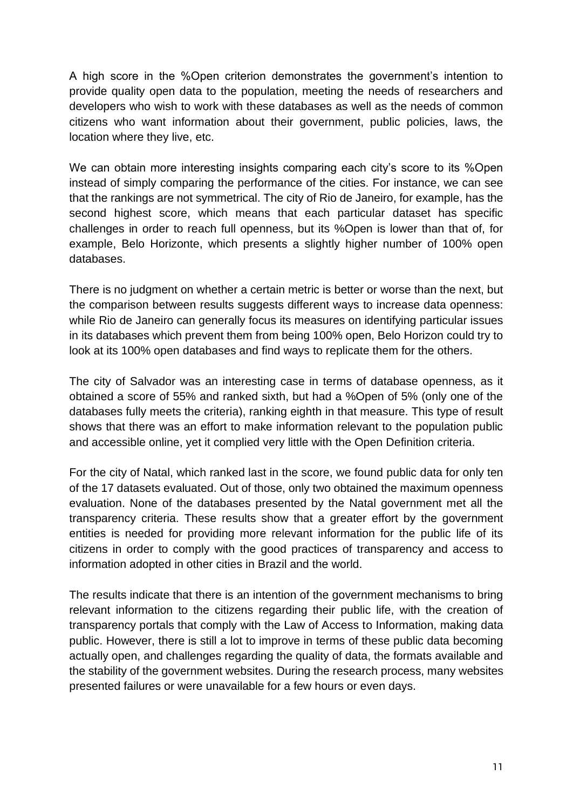A high score in the %Open criterion demonstrates the government's intention to provide quality open data to the population, meeting the needs of researchers and developers who wish to work with these databases as well as the needs of common citizens who want information about their government, public policies, laws, the location where they live, etc.

We can obtain more interesting insights comparing each city's score to its %Open instead of simply comparing the performance of the cities. For instance, we can see that the rankings are not symmetrical. The city of Rio de Janeiro, for example, has the second highest score, which means that each particular dataset has specific challenges in order to reach full openness, but its %Open is lower than that of, for example, Belo Horizonte, which presents a slightly higher number of 100% open databases.

There is no judgment on whether a certain metric is better or worse than the next, but the comparison between results suggests different ways to increase data openness: while Rio de Janeiro can generally focus its measures on identifying particular issues in its databases which prevent them from being 100% open, Belo Horizon could try to look at its 100% open databases and find ways to replicate them for the others.

The city of Salvador was an interesting case in terms of database openness, as it obtained a score of 55% and ranked sixth, but had a %Open of 5% (only one of the databases fully meets the criteria), ranking eighth in that measure. This type of result shows that there was an effort to make information relevant to the population public and accessible online, yet it complied very little with the Open Definition criteria.

For the city of Natal, which ranked last in the score, we found public data for only ten of the 17 datasets evaluated. Out of those, only two obtained the maximum openness evaluation. None of the databases presented by the Natal government met all the transparency criteria. These results show that a greater effort by the government entities is needed for providing more relevant information for the public life of its citizens in order to comply with the good practices of transparency and access to information adopted in other cities in Brazil and the world.

The results indicate that there is an intention of the government mechanisms to bring relevant information to the citizens regarding their public life, with the creation of transparency portals that comply with the Law of Access to Information, making data public. However, there is still a lot to improve in terms of these public data becoming actually open, and challenges regarding the quality of data, the formats available and the stability of the government websites. During the research process, many websites presented failures or were unavailable for a few hours or even days.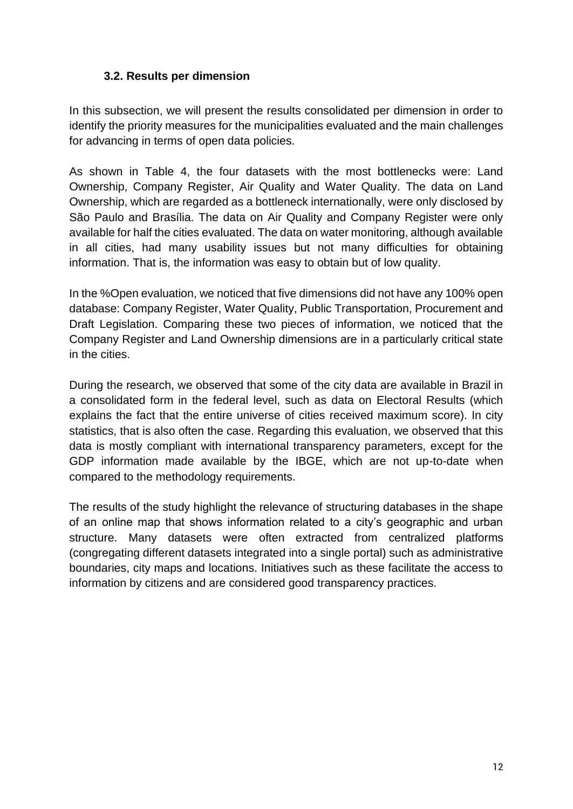### **3.2. Results per dimension**

In this subsection, we will present the results consolidated per dimension in order to identify the priority measures for the municipalities evaluated and the main challenges for advancing in terms of open data policies.

As shown in Table 4, the four datasets with the most bottlenecks were: Land Ownership, Company Register, Air Quality and Water Quality. The data on Land Ownership, which are regarded as a bottleneck internationally, were only disclosed by São Paulo and Brasília. The data on Air Quality and Company Register were only available for half the cities evaluated. The data on water monitoring, although available in all cities, had many usability issues but not many difficulties for obtaining information. That is, the information was easy to obtain but of low quality.

In the %Open evaluation, we noticed that five dimensions did not have any 100% open database: Company Register, Water Quality, Public Transportation, Procurement and Draft Legislation. Comparing these two pieces of information, we noticed that the Company Register and Land Ownership dimensions are in a particularly critical state in the cities.

During the research, we observed that some of the city data are available in Brazil in a consolidated form in the federal level, such as data on Electoral Results (which explains the fact that the entire universe of cities received maximum score). In city statistics, that is also often the case. Regarding this evaluation, we observed that this data is mostly compliant with international transparency parameters, except for the GDP information made available by the IBGE, which are not up-to-date when compared to the methodology requirements.

The results of the study highlight the relevance of structuring databases in the shape of an online map that shows information related to a city's geographic and urban structure. Many datasets were often extracted from centralized platforms (congregating different datasets integrated into a single portal) such as administrative boundaries, city maps and locations. Initiatives such as these facilitate the access to information by citizens and are considered good transparency practices.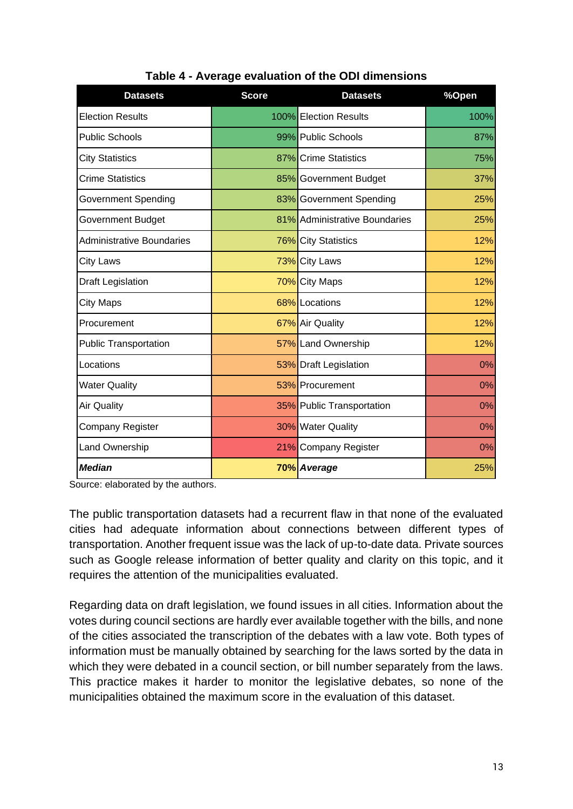| <b>Datasets</b>                  | <b>Score</b> | <b>Datasets</b>               | %Open |
|----------------------------------|--------------|-------------------------------|-------|
| <b>Election Results</b>          |              | 100% Election Results         | 100%  |
| <b>Public Schools</b>            |              | 99% Public Schools            | 87%   |
| <b>City Statistics</b>           |              | 87% Crime Statistics          | 75%   |
| <b>Crime Statistics</b>          |              | 85% Government Budget         | 37%   |
| Government Spending              |              | 83% Government Spending       | 25%   |
| Government Budget                |              | 81% Administrative Boundaries | 25%   |
| <b>Administrative Boundaries</b> |              | 76% City Statistics           | 12%   |
| <b>City Laws</b>                 |              | 73% City Laws                 | 12%   |
| Draft Legislation                |              | 70% City Maps                 | 12%   |
| <b>City Maps</b>                 |              | 68% Locations                 | 12%   |
| Procurement                      |              | 67% Air Quality               | 12%   |
| <b>Public Transportation</b>     |              | 57% Land Ownership            | 12%   |
| Locations                        |              | 53% Draft Legislation         | 0%    |
| <b>Water Quality</b>             |              | 53% Procurement               | 0%    |
| <b>Air Quality</b>               |              | 35% Public Transportation     | 0%    |
| Company Register                 |              | 30% Water Quality             | 0%    |
| <b>Land Ownership</b>            |              | 21% Company Register          | 0%    |
| <b>Median</b>                    |              | 70% Average                   | 25%   |

# **Table 4 - Average evaluation of the ODI dimensions**

Source: elaborated by the authors.

The public transportation datasets had a recurrent flaw in that none of the evaluated cities had adequate information about connections between different types of transportation. Another frequent issue was the lack of up-to-date data. Private sources such as Google release information of better quality and clarity on this topic, and it requires the attention of the municipalities evaluated.

Regarding data on draft legislation, we found issues in all cities. Information about the votes during council sections are hardly ever available together with the bills, and none of the cities associated the transcription of the debates with a law vote. Both types of information must be manually obtained by searching for the laws sorted by the data in which they were debated in a council section, or bill number separately from the laws. This practice makes it harder to monitor the legislative debates, so none of the municipalities obtained the maximum score in the evaluation of this dataset.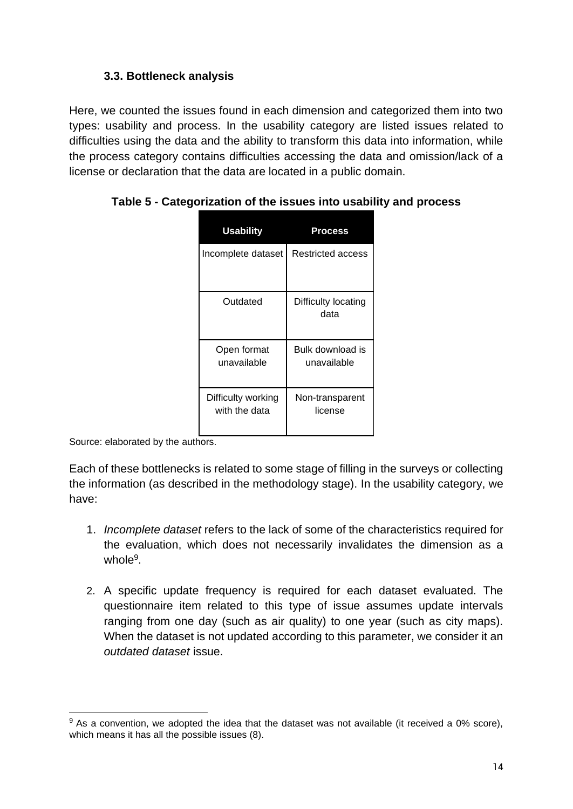## **3.3. Bottleneck analysis**

Here, we counted the issues found in each dimension and categorized them into two types: usability and process. In the usability category are listed issues related to difficulties using the data and the ability to transform this data into information, while the process category contains difficulties accessing the data and omission/lack of a license or declaration that the data are located in a public domain.

| <b>Usability</b>                    | Process                         |
|-------------------------------------|---------------------------------|
| Incomplete dataset                  | Restricted access               |
| Outdated                            | Difficulty locating<br>data     |
| Open format<br>unavailable          | Bulk download is<br>unavailable |
| Difficulty working<br>with the data | Non-transparent<br>license      |

**Table 5 - Categorization of the issues into usability and process**

Source: elaborated by the authors.

Each of these bottlenecks is related to some stage of filling in the surveys or collecting the information (as described in the methodology stage). In the usability category, we have:

- 1. *Incomplete dataset* refers to the lack of some of the characteristics required for the evaluation, which does not necessarily invalidates the dimension as a whole<sup>9</sup>.
- 2. A specific update frequency is required for each dataset evaluated. The questionnaire item related to this type of issue assumes update intervals ranging from one day (such as air quality) to one year (such as city maps). When the dataset is not updated according to this parameter, we consider it an *outdated dataset* issue.

 $9$  As a convention, we adopted the idea that the dataset was not available (it received a 0% score), which means it has all the possible issues (8).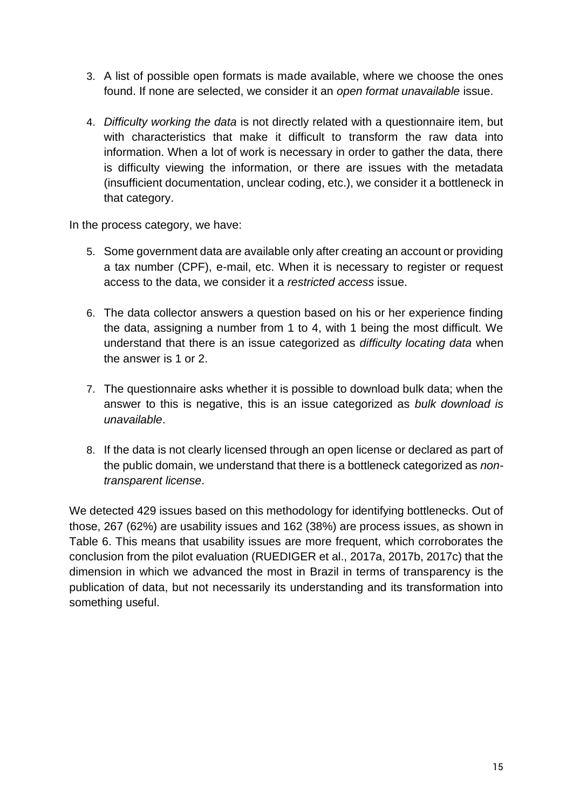- 3. A list of possible open formats is made available, where we choose the ones found. If none are selected, we consider it an *open format unavailable* issue.
- 4. *Difficulty working the data* is not directly related with a questionnaire item, but with characteristics that make it difficult to transform the raw data into information. When a lot of work is necessary in order to gather the data, there is difficulty viewing the information, or there are issues with the metadata (insufficient documentation, unclear coding, etc.), we consider it a bottleneck in that category.

In the process category, we have:

- 5. Some government data are available only after creating an account or providing a tax number (CPF), e-mail, etc. When it is necessary to register or request access to the data, we consider it a *restricted access* issue.
- 6. The data collector answers a question based on his or her experience finding the data, assigning a number from 1 to 4, with 1 being the most difficult. We understand that there is an issue categorized as *difficulty locating data* when the answer is 1 or 2.
- 7. The questionnaire asks whether it is possible to download bulk data; when the answer to this is negative, this is an issue categorized as *bulk download is unavailable*.
- 8. If the data is not clearly licensed through an open license or declared as part of the public domain, we understand that there is a bottleneck categorized as *nontransparent license*.

We detected 429 issues based on this methodology for identifying bottlenecks. Out of those, 267 (62%) are usability issues and 162 (38%) are process issues, as shown in Table 6. This means that usability issues are more frequent, which corroborates the conclusion from the pilot evaluation (RUEDIGER et al., 2017a, 2017b, 2017c) that the dimension in which we advanced the most in Brazil in terms of transparency is the publication of data, but not necessarily its understanding and its transformation into something useful.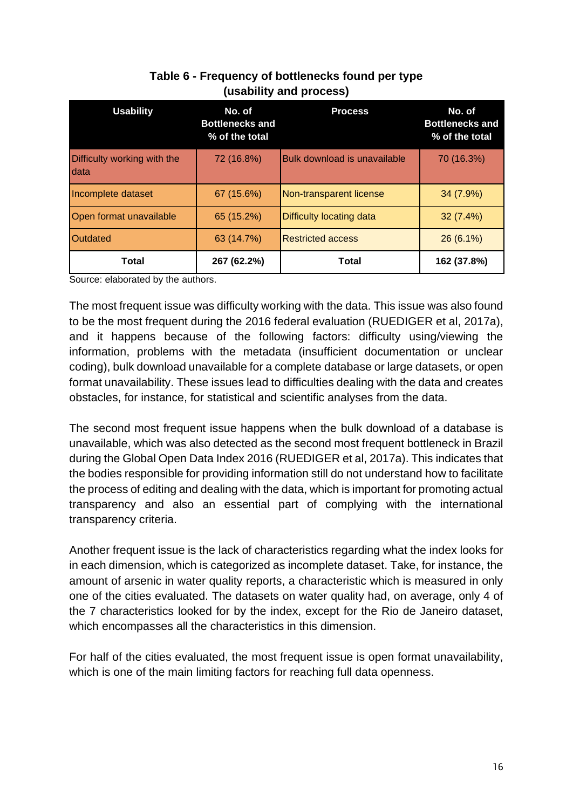| <b>Usability</b>                     | No. of<br><b>Bottlenecks and</b><br>% of the total | <b>Process</b>                      | No. of<br><b>Bottlenecks and</b><br>% of the total |
|--------------------------------------|----------------------------------------------------|-------------------------------------|----------------------------------------------------|
| Difficulty working with the<br>Idata | 72 (16.8%)                                         | <b>Bulk download is unavailable</b> | 70 (16.3%)                                         |
| Incomplete dataset                   | 67 (15.6%)                                         | Non-transparent license             | 34 (7.9%)                                          |
| Open format unavailable              | 65 (15.2%)                                         | Difficulty locating data            | $32(7.4\%)$                                        |
| Outdated                             | 63 (14.7%)                                         | <b>Restricted access</b>            | $26(6.1\%)$                                        |
| <b>Total</b>                         | 267 (62.2%)                                        | <b>Total</b>                        | 162 (37.8%)                                        |

# **Table 6 - Frequency of bottlenecks found per type (usability and process)**

Source: elaborated by the authors.

The most frequent issue was difficulty working with the data. This issue was also found to be the most frequent during the 2016 federal evaluation (RUEDIGER et al, 2017a), and it happens because of the following factors: difficulty using/viewing the information, problems with the metadata (insufficient documentation or unclear coding), bulk download unavailable for a complete database or large datasets, or open format unavailability. These issues lead to difficulties dealing with the data and creates obstacles, for instance, for statistical and scientific analyses from the data.

The second most frequent issue happens when the bulk download of a database is unavailable, which was also detected as the second most frequent bottleneck in Brazil during the Global Open Data Index 2016 (RUEDIGER et al, 2017a). This indicates that the bodies responsible for providing information still do not understand how to facilitate the process of editing and dealing with the data, which is important for promoting actual transparency and also an essential part of complying with the international transparency criteria.

Another frequent issue is the lack of characteristics regarding what the index looks for in each dimension, which is categorized as incomplete dataset. Take, for instance, the amount of arsenic in water quality reports, a characteristic which is measured in only one of the cities evaluated. The datasets on water quality had, on average, only 4 of the 7 characteristics looked for by the index, except for the Rio de Janeiro dataset, which encompasses all the characteristics in this dimension.

For half of the cities evaluated, the most frequent issue is open format unavailability, which is one of the main limiting factors for reaching full data openness.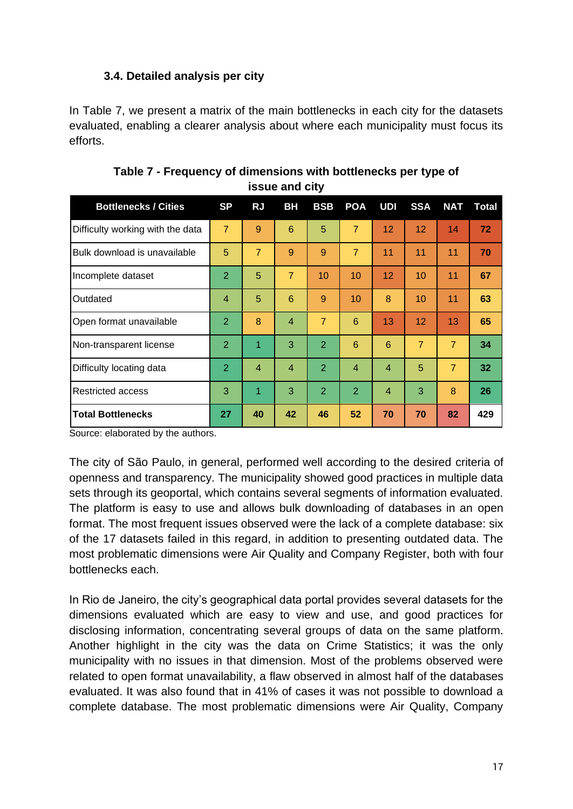## **3.4. Detailed analysis per city**

In Table 7, we present a matrix of the main bottlenecks in each city for the datasets evaluated, enabling a clearer analysis about where each municipality must focus its efforts.

| <b>Bottlenecks / Cities</b>      | <b>SP</b>      | <b>RJ</b>      | <b>BH</b>       | <b>BSB</b>     | <b>POA</b>      | UDI             | <b>SSA</b>     | <b>NAT</b>     | Total |
|----------------------------------|----------------|----------------|-----------------|----------------|-----------------|-----------------|----------------|----------------|-------|
| Difficulty working with the data | $\overline{7}$ | 9              | $6\phantom{1}6$ | 5              | $\overline{7}$  | 12              | 12             | 14             | 72    |
| Bulk download is unavailable     | 5              | $\overline{7}$ | 9               | 9              | $\overline{7}$  | 11              | 11             | 11             | 70    |
| Incomplete dataset               | $\overline{2}$ | 5              | $\overline{7}$  | 10             | 10              | 12 <sup>2</sup> | 10             | 11             | 67    |
| Outdated                         | 4              | 5              | $6\phantom{1}6$ | 9              | 10              | 8               | 10             | 11             | 63    |
| Open format unavailable          | 2              | 8              | $\overline{4}$  | $\overline{7}$ | $6\phantom{1}6$ | 13              | 12             | 13             | 65    |
| Non-transparent license          | 2              | 1              | 3               | 2              | 6               | 6               | $\overline{7}$ | $\overline{7}$ | 34    |
| Difficulty locating data         | $\overline{2}$ | $\overline{4}$ | $\overline{4}$  | 2              | $\overline{4}$  | $\overline{4}$  | 5              | $\overline{7}$ | 32    |
| Restricted access                | 3              | 1              | 3               | 2              | $\overline{2}$  | $\overline{4}$  | 3              | 8              | 26    |
| <b>Total Bottlenecks</b>         | 27             | 40             | 42              | 46             | 52              | 70              | 70             | 82             | 429   |

**Table 7 - Frequency of dimensions with bottlenecks per type of issue and city**

Source: elaborated by the authors.

The city of São Paulo, in general, performed well according to the desired criteria of openness and transparency. The municipality showed good practices in multiple data sets through its geoportal, which contains several segments of information evaluated. The platform is easy to use and allows bulk downloading of databases in an open format. The most frequent issues observed were the lack of a complete database: six of the 17 datasets failed in this regard, in addition to presenting outdated data. The most problematic dimensions were Air Quality and Company Register, both with four bottlenecks each.

In Rio de Janeiro, the city's geographical data portal provides several datasets for the dimensions evaluated which are easy to view and use, and good practices for disclosing information, concentrating several groups of data on the same platform. Another highlight in the city was the data on Crime Statistics; it was the only municipality with no issues in that dimension. Most of the problems observed were related to open format unavailability, a flaw observed in almost half of the databases evaluated. It was also found that in 41% of cases it was not possible to download a complete database. The most problematic dimensions were Air Quality, Company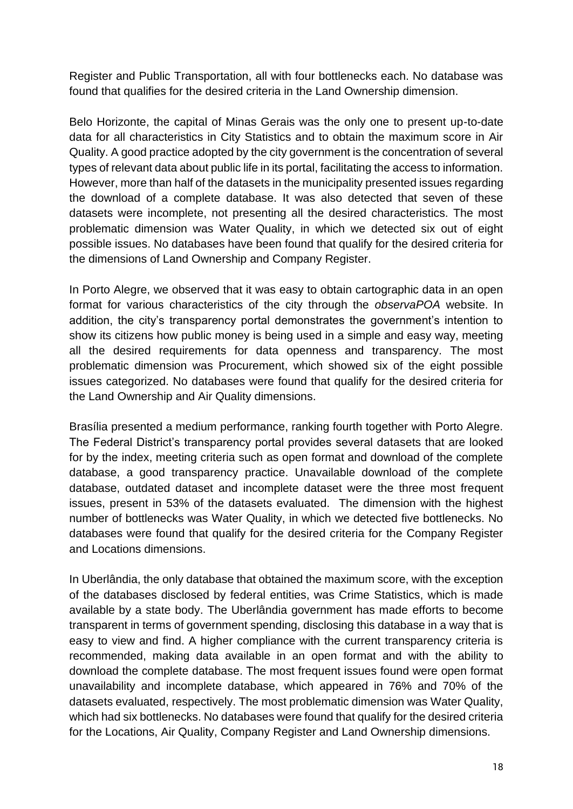Register and Public Transportation, all with four bottlenecks each. No database was found that qualifies for the desired criteria in the Land Ownership dimension.

Belo Horizonte, the capital of Minas Gerais was the only one to present up-to-date data for all characteristics in City Statistics and to obtain the maximum score in Air Quality. A good practice adopted by the city government is the concentration of several types of relevant data about public life in its portal, facilitating the access to information. However, more than half of the datasets in the municipality presented issues regarding the download of a complete database. It was also detected that seven of these datasets were incomplete, not presenting all the desired characteristics. The most problematic dimension was Water Quality, in which we detected six out of eight possible issues. No databases have been found that qualify for the desired criteria for the dimensions of Land Ownership and Company Register.

In Porto Alegre, we observed that it was easy to obtain cartographic data in an open format for various characteristics of the city through the *observaPOA* website. In addition, the city's transparency portal demonstrates the government's intention to show its citizens how public money is being used in a simple and easy way, meeting all the desired requirements for data openness and transparency. The most problematic dimension was Procurement, which showed six of the eight possible issues categorized. No databases were found that qualify for the desired criteria for the Land Ownership and Air Quality dimensions.

Brasília presented a medium performance, ranking fourth together with Porto Alegre. The Federal District's transparency portal provides several datasets that are looked for by the index, meeting criteria such as open format and download of the complete database, a good transparency practice. Unavailable download of the complete database, outdated dataset and incomplete dataset were the three most frequent issues, present in 53% of the datasets evaluated. The dimension with the highest number of bottlenecks was Water Quality, in which we detected five bottlenecks. No databases were found that qualify for the desired criteria for the Company Register and Locations dimensions.

In Uberlândia, the only database that obtained the maximum score, with the exception of the databases disclosed by federal entities, was Crime Statistics, which is made available by a state body. The Uberlândia government has made efforts to become transparent in terms of government spending, disclosing this database in a way that is easy to view and find. A higher compliance with the current transparency criteria is recommended, making data available in an open format and with the ability to download the complete database. The most frequent issues found were open format unavailability and incomplete database, which appeared in 76% and 70% of the datasets evaluated, respectively. The most problematic dimension was Water Quality, which had six bottlenecks. No databases were found that qualify for the desired criteria for the Locations, Air Quality, Company Register and Land Ownership dimensions.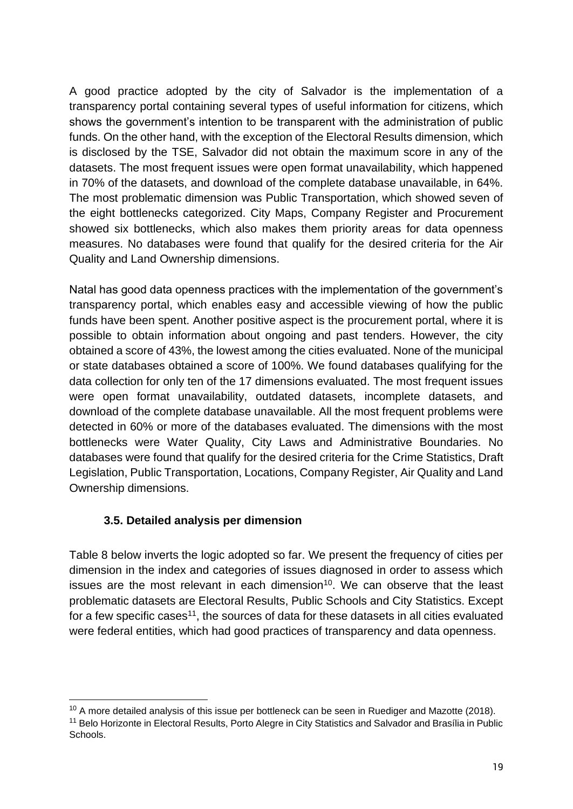A good practice adopted by the city of Salvador is the implementation of a transparency portal containing several types of useful information for citizens, which shows the government's intention to be transparent with the administration of public funds. On the other hand, with the exception of the Electoral Results dimension, which is disclosed by the TSE, Salvador did not obtain the maximum score in any of the datasets. The most frequent issues were open format unavailability, which happened in 70% of the datasets, and download of the complete database unavailable, in 64%. The most problematic dimension was Public Transportation, which showed seven of the eight bottlenecks categorized. City Maps, Company Register and Procurement showed six bottlenecks, which also makes them priority areas for data openness measures. No databases were found that qualify for the desired criteria for the Air Quality and Land Ownership dimensions.

Natal has good data openness practices with the implementation of the government's transparency portal, which enables easy and accessible viewing of how the public funds have been spent. Another positive aspect is the procurement portal, where it is possible to obtain information about ongoing and past tenders. However, the city obtained a score of 43%, the lowest among the cities evaluated. None of the municipal or state databases obtained a score of 100%. We found databases qualifying for the data collection for only ten of the 17 dimensions evaluated. The most frequent issues were open format unavailability, outdated datasets, incomplete datasets, and download of the complete database unavailable. All the most frequent problems were detected in 60% or more of the databases evaluated. The dimensions with the most bottlenecks were Water Quality, City Laws and Administrative Boundaries. No databases were found that qualify for the desired criteria for the Crime Statistics, Draft Legislation, Public Transportation, Locations, Company Register, Air Quality and Land Ownership dimensions.

## **3.5. Detailed analysis per dimension**

Table 8 below inverts the logic adopted so far. We present the frequency of cities per dimension in the index and categories of issues diagnosed in order to assess which issues are the most relevant in each dimension<sup>10</sup>. We can observe that the least problematic datasets are Electoral Results, Public Schools and City Statistics. Except for a few specific cases<sup>11</sup>, the sources of data for these datasets in all cities evaluated were federal entities, which had good practices of transparency and data openness.

 $10$  A more detailed analysis of this issue per bottleneck can be seen in Ruediger and Mazotte (2018). <sup>11</sup> Belo Horizonte in Electoral Results, Porto Alegre in City Statistics and Salvador and Brasília in Public Schools.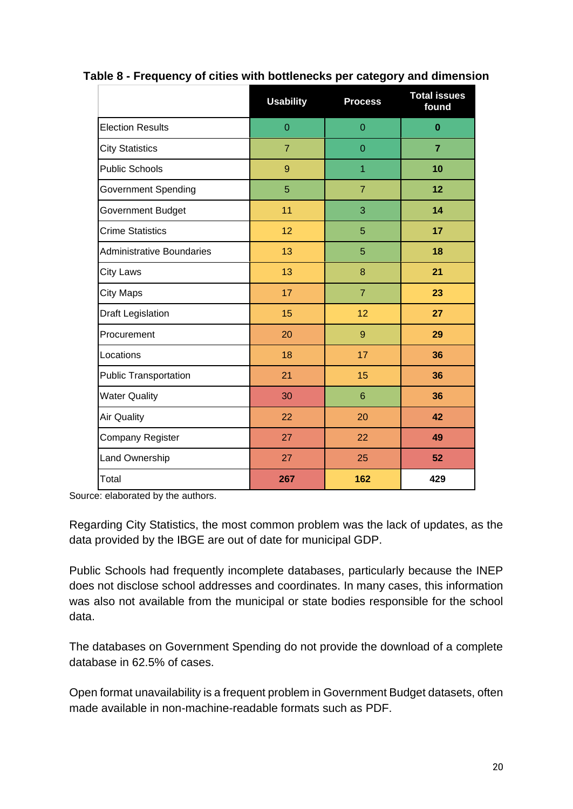|                                  | <b>Usability</b> | <b>Process</b>  | <b>Total issues</b><br>found |
|----------------------------------|------------------|-----------------|------------------------------|
| <b>Election Results</b>          | $\overline{0}$   | $\mathbf 0$     | $\bf{0}$                     |
| <b>City Statistics</b>           | $\overline{7}$   | $\Omega$        | $\overline{7}$               |
| <b>Public Schools</b>            | 9                | 1               | 10                           |
| <b>Government Spending</b>       | 5                | $\overline{7}$  | 12                           |
| Government Budget                | 11               | 3               | 14                           |
| <b>Crime Statistics</b>          | 12               | 5               | 17                           |
| <b>Administrative Boundaries</b> | 13               | 5               | 18                           |
| <b>City Laws</b>                 | 13               | 8               | 21                           |
| <b>City Maps</b>                 | 17               | $\overline{7}$  | 23                           |
| <b>Draft Legislation</b>         | 15               | 12              | 27                           |
| Procurement                      | 20               | $\overline{9}$  | 29                           |
| Locations                        | 18               | 17              | 36                           |
| <b>Public Transportation</b>     | 21               | 15              | 36                           |
| <b>Water Quality</b>             | 30               | $6\phantom{1}6$ | 36                           |
| <b>Air Quality</b>               | 22               | 20              | 42                           |
| Company Register                 | 27               | 22              | 49                           |
| Land Ownership                   | 27               | 25              | 52                           |
| Total                            | 267              | 162             | 429                          |

### **Table 8 - Frequency of cities with bottlenecks per category and dimension**

Source: elaborated by the authors.

Regarding City Statistics, the most common problem was the lack of updates, as the data provided by the IBGE are out of date for municipal GDP.

Public Schools had frequently incomplete databases, particularly because the INEP does not disclose school addresses and coordinates. In many cases, this information was also not available from the municipal or state bodies responsible for the school data.

The databases on Government Spending do not provide the download of a complete database in 62.5% of cases.

Open format unavailability is a frequent problem in Government Budget datasets, often made available in non-machine-readable formats such as PDF.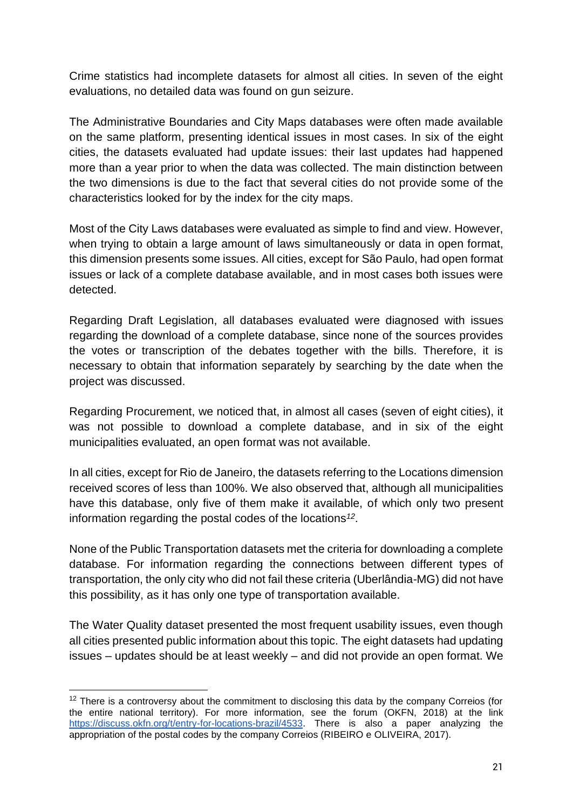Crime statistics had incomplete datasets for almost all cities. In seven of the eight evaluations, no detailed data was found on gun seizure.

The Administrative Boundaries and City Maps databases were often made available on the same platform, presenting identical issues in most cases. In six of the eight cities, the datasets evaluated had update issues: their last updates had happened more than a year prior to when the data was collected. The main distinction between the two dimensions is due to the fact that several cities do not provide some of the characteristics looked for by the index for the city maps.

Most of the City Laws databases were evaluated as simple to find and view. However, when trying to obtain a large amount of laws simultaneously or data in open format, this dimension presents some issues. All cities, except for São Paulo, had open format issues or lack of a complete database available, and in most cases both issues were detected.

Regarding Draft Legislation, all databases evaluated were diagnosed with issues regarding the download of a complete database, since none of the sources provides the votes or transcription of the debates together with the bills. Therefore, it is necessary to obtain that information separately by searching by the date when the project was discussed.

Regarding Procurement, we noticed that, in almost all cases (seven of eight cities), it was not possible to download a complete database, and in six of the eight municipalities evaluated, an open format was not available.

In all cities, except for Rio de Janeiro, the datasets referring to the Locations dimension received scores of less than 100%. We also observed that, although all municipalities have this database, only five of them make it available, of which only two present information regarding the postal codes of the locations*<sup>12</sup>* .

None of the Public Transportation datasets met the criteria for downloading a complete database. For information regarding the connections between different types of transportation, the only city who did not fail these criteria (Uberlândia-MG) did not have this possibility, as it has only one type of transportation available.

The Water Quality dataset presented the most frequent usability issues, even though all cities presented public information about this topic. The eight datasets had updating issues – updates should be at least weekly – and did not provide an open format. We

<sup>&</sup>lt;sup>12</sup> There is a controversy about the commitment to disclosing this data by the company Correios (for the entire national territory). For more information, see [the forum \(OKFN, 2018\)](https://discuss.okfn.org/t/entry-for-locations-brazil/4533) at the link [https://discuss.okfn.org/t/entry-for-locations-brazil/4533.](https://discuss.okfn.org/t/entry-for-locations-brazil/4533) There is also a paper analyzing the appropriation of the postal codes by the company Correios (RIBEIRO e OLIVEIRA, 2017).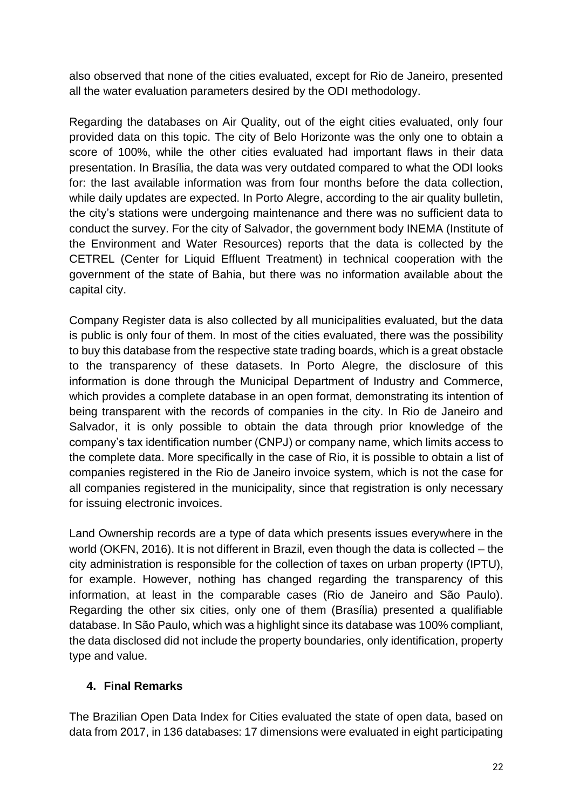also observed that none of the cities evaluated, except for Rio de Janeiro, presented all the water evaluation parameters desired by the ODI methodology.

Regarding the databases on Air Quality, out of the eight cities evaluated, only four provided data on this topic. The city of Belo Horizonte was the only one to obtain a score of 100%, while the other cities evaluated had important flaws in their data presentation. In Brasília, the data was very outdated compared to what the ODI looks for: the last available information was from four months before the data collection, while daily updates are expected. In Porto Alegre, according to the air quality bulletin, the city's stations were undergoing maintenance and there was no sufficient data to conduct the survey. For the city of Salvador, the government body INEMA (Institute of the Environment and Water Resources) reports that the data is collected by the CETREL (Center for Liquid Effluent Treatment) in technical cooperation with the government of the state of Bahia, but there was no information available about the capital city.

Company Register data is also collected by all municipalities evaluated, but the data is public is only four of them. In most of the cities evaluated, there was the possibility to buy this database from the respective state trading boards, which is a great obstacle to the transparency of these datasets. In Porto Alegre, the disclosure of this information is done through the Municipal Department of Industry and Commerce, which provides a complete database in an open format, demonstrating its intention of being transparent with the records of companies in the city. In Rio de Janeiro and Salvador, it is only possible to obtain the data through prior knowledge of the company's tax identification number (CNPJ) or company name, which limits access to the complete data. More specifically in the case of Rio, it is possible to obtain a list of companies registered in the Rio de Janeiro invoice system, which is not the case for all companies registered in the municipality, since that registration is only necessary for issuing electronic invoices.

Land Ownership records are a type of data which presents issues everywhere in the world (OKFN, 2016). It is not different in Brazil, even though the data is collected – the city administration is responsible for the collection of taxes on urban property (IPTU), for example. However, nothing has changed regarding the transparency of this information, at least in the comparable cases (Rio de Janeiro and São Paulo). Regarding the other six cities, only one of them (Brasília) presented a qualifiable database. In São Paulo, which was a highlight since its database was 100% compliant, the data disclosed did not include the property boundaries, only identification, property type and value.

### **4. Final Remarks**

The Brazilian Open Data Index for Cities evaluated the state of open data, based on data from 2017, in 136 databases: 17 dimensions were evaluated in eight participating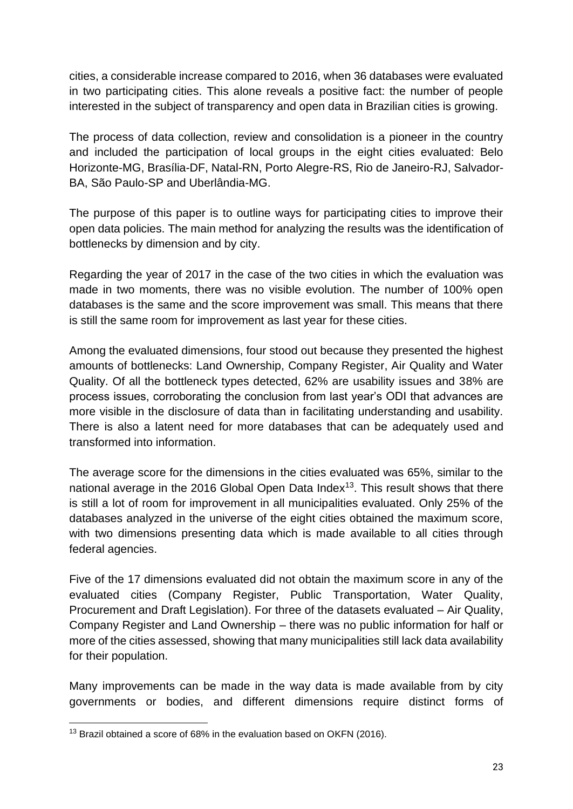cities, a considerable increase compared to 2016, when 36 databases were evaluated in two participating cities. This alone reveals a positive fact: the number of people interested in the subject of transparency and open data in Brazilian cities is growing.

The process of data collection, review and consolidation is a pioneer in the country and included the participation of local groups in the eight cities evaluated: Belo Horizonte-MG, Brasília-DF, Natal-RN, Porto Alegre-RS, Rio de Janeiro-RJ, Salvador-BA, São Paulo-SP and Uberlândia-MG.

The purpose of this paper is to outline ways for participating cities to improve their open data policies. The main method for analyzing the results was the identification of bottlenecks by dimension and by city.

Regarding the year of 2017 in the case of the two cities in which the evaluation was made in two moments, there was no visible evolution. The number of 100% open databases is the same and the score improvement was small. This means that there is still the same room for improvement as last year for these cities.

Among the evaluated dimensions, four stood out because they presented the highest amounts of bottlenecks: Land Ownership, Company Register, Air Quality and Water Quality. Of all the bottleneck types detected, 62% are usability issues and 38% are process issues, corroborating the conclusion from last year's ODI that advances are more visible in the disclosure of data than in facilitating understanding and usability. There is also a latent need for more databases that can be adequately used and transformed into information.

The average score for the dimensions in the cities evaluated was 65%, similar to the national average in the 2016 Global Open Data Index<sup>13</sup>. This result shows that there is still a lot of room for improvement in all municipalities evaluated. Only 25% of the databases analyzed in the universe of the eight cities obtained the maximum score, with two dimensions presenting data which is made available to all cities through federal agencies.

Five of the 17 dimensions evaluated did not obtain the maximum score in any of the evaluated cities (Company Register, Public Transportation, Water Quality, Procurement and Draft Legislation). For three of the datasets evaluated – Air Quality, Company Register and Land Ownership – there was no public information for half or more of the cities assessed, showing that many municipalities still lack data availability for their population.

Many improvements can be made in the way data is made available from by city governments or bodies, and different dimensions require distinct forms of

<sup>&</sup>lt;sup>13</sup> Brazil obtained a score of 68% in the evaluation based on OKFN (2016).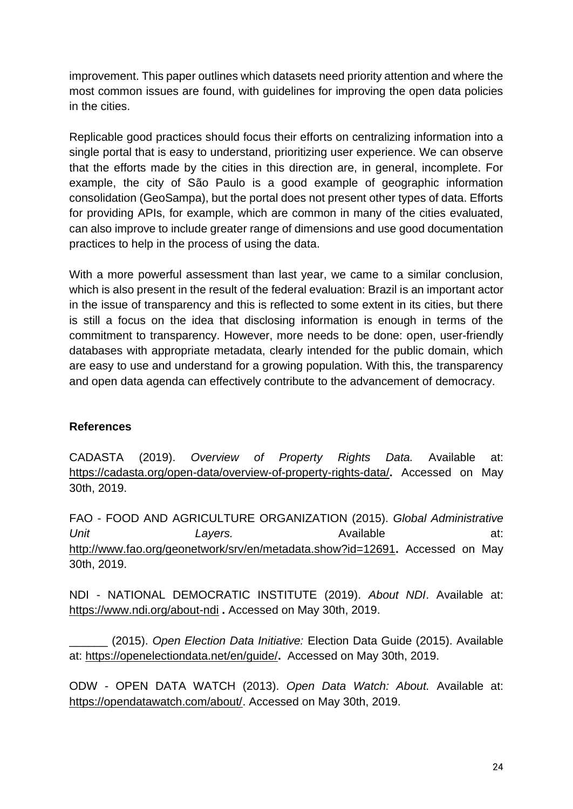improvement. This paper outlines which datasets need priority attention and where the most common issues are found, with guidelines for improving the open data policies in the cities.

Replicable good practices should focus their efforts on centralizing information into a single portal that is easy to understand, prioritizing user experience. We can observe that the efforts made by the cities in this direction are, in general, incomplete. For example, the city of São Paulo is a good example of geographic information consolidation (GeoSampa), but the portal does not present other types of data. Efforts for providing APIs, for example, which are common in many of the cities evaluated, can also improve to include greater range of dimensions and use good documentation practices to help in the process of using the data.

With a more powerful assessment than last year, we came to a similar conclusion, which is also present in the result of the federal evaluation: Brazil is an important actor in the issue of transparency and this is reflected to some extent in its cities, but there is still a focus on the idea that disclosing information is enough in terms of the commitment to transparency. However, more needs to be done: open, user-friendly databases with appropriate metadata, clearly intended for the public domain, which are easy to use and understand for a growing population. With this, the transparency and open data agenda can effectively contribute to the advancement of democracy.

### **References**

CADASTA (2019). *Overview of Property Rights Data.* Available at: <https://cadasta.org/open-data/overview-of-property-rights-data/>**.** Accessed on May 30th, 2019.

FAO - FOOD AND AGRICULTURE ORGANIZATION (2015). *Global Administrative Unit* **Layers. Available at:** *Available* **at:** <http://www.fao.org/geonetwork/srv/en/metadata.show?id=12691>**.** Accessed on May 30th, 2019.

NDI - NATIONAL DEMOCRATIC INSTITUTE (2019). *About NDI*. Available at: <https://www.ndi.org/about-ndi> **.** Accessed on May 30th, 2019.

\_\_\_\_\_\_ (2015). *Open Election Data Initiative:* Election Data Guide (2015). Available at:<https://openelectiondata.net/en/guide/>**.** Accessed on May 30th, 2019.

ODW - OPEN DATA WATCH (2013). *Open Data Watch: About.* Available at: [https://opendatawatch.com/about/. Accessed on May 30th, 2019.](https://opendatawatch.com/about/)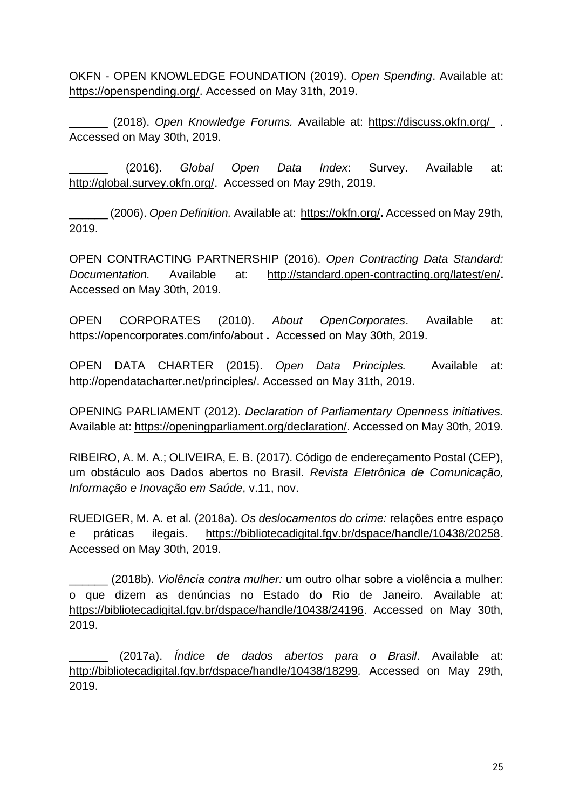OKFN - OPEN KNOWLEDGE FOUNDATION (2019). *Open Spending*. Available at: [https://openspending.org/.](https://openspending.org/) Accessed on May 31th, 2019.

\_\_\_\_\_\_ (2018). *Open Knowledge Forums.* Available at: <https://discuss.okfn.org/>. Accessed on May 30th, 2019.

\_\_\_\_\_\_ (2016). *Global Open Data Index*: Survey. Available at: [http://global.survey.okfn.org/.](http://global.survey.okfn.org/) Accessed on May 29th, 2019.

\_\_\_\_\_\_ (2006). *Open Definition.* Available at:<https://okfn.org/>**.** Accessed on May 29th, 2019.

OPEN CONTRACTING PARTNERSHIP (2016). *Open Contracting Data Standard: Documentation.* Available at: <http://standard.open-contracting.org/latest/en/>**.**  Accessed on May 30th, 2019.

OPEN CORPORATES (2010). *About OpenCorporates*. Available at: <https://opencorporates.com/info/about> **.** Accessed on May 30th, 2019.

OPEN DATA CHARTER (2015). *Open Data Principles.* Available at: [http://opendatacharter.net/principles/.](http://opendatacharter.net/principles/) Accessed on May 31th, 2019.

OPENING PARLIAMENT [\(2012\).](https://opendatawatch.com/about/) *[Declaration of Parliamentary Openness initiatives.](https://opendatawatch.com/about/)* [Available at:](https://opendatawatch.com/about/) [https://openingparliament.org/declaration/. Accessed on May 30th, 2019.](https://openingparliament.org/declaration/)

RIBEIRO, A. M. A.; OLIVEIRA, E. B. (2017). Código de endereçamento Postal (CEP), um obstáculo aos Dados abertos no Brasil. *Revista Eletrônica de Comunicação, Informação e Inovação em Saúde*, v.11, nov.

RUEDIGER, M. A. et al. (2018a). *Os deslocamentos do crime:* relações entre espaço e práticas ilegais. <https://bibliotecadigital.fgv.br/dspace/handle/10438/20258>[.](https://bibliotecadigital.fgv.br/dspace/handle/10438/18914)  [Accessed on May 30th, 2019.](https://bibliotecadigital.fgv.br/dspace/handle/10438/18914) 

\_\_\_\_\_\_ (2018b). *Violência contra mulher:* um outro olhar sobre a violência a mulher: o que dizem as denúncias no Estado do Rio de Janeiro. Available at: <https://bibliotecadigital.fgv.br/dspace/handle/10438/24196>. [Accessed on May 30th,](https://bibliotecadigital.fgv.br/dspace/handle/10438/18914)  [2019.](https://bibliotecadigital.fgv.br/dspace/handle/10438/18914)

\_\_\_\_\_\_ (2017a). *Índice de dados abertos para o Brasil*. Available at: <http://bibliotecadigital.fgv.br/dspace/handle/10438/18299>*.* Accessed on May 29th, 2019.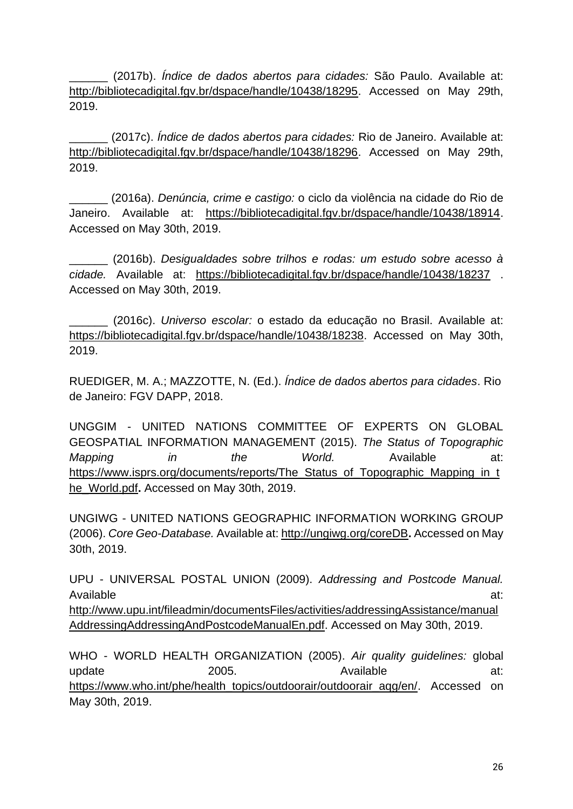\_\_\_\_\_\_ (2017b). *Índice de dados abertos para cidades:* São Paulo. Available at: <http://bibliotecadigital.fgv.br/dspace/handle/10438/18295>[.](http://bibliotecadigital.fgv.br/dspace/handle/10438/18296) Accessed on May 29th, 2019.

\_\_\_\_\_\_ (2017c). *Índice de dados abertos para cidades:* Rio de Janeiro. Available at: [http://bibliotecadigital.fgv.br/dspace/handle/10438/18296.](http://bibliotecadigital.fgv.br/dspace/handle/10438/18296) Accessed on May 29th, 2019.

\_\_\_\_\_\_ (2016a). *Denúncia, crime e castigo:* o ciclo da violência na cidade do Rio de Janeiro. Available at: [https://bibliotecadigital.fgv.br/dspace/handle/10438/18914.](https://bibliotecadigital.fgv.br/dspace/handle/10438/18914)  [Accessed on May 30th, 2019.](https://bibliotecadigital.fgv.br/dspace/handle/10438/18914) 

\_\_\_\_\_\_ [\(2016b\).](https://www.who.int/water_sanitation_health/publications/drinking-water-quality-guidelines-4-including-1st-addendum/en/) *[Desigualdades sobre trilhos e rodas: um estudo sobre acesso à](https://www.who.int/water_sanitation_health/publications/drinking-water-quality-guidelines-4-including-1st-addendum/en/)  [cidade.](https://www.who.int/water_sanitation_health/publications/drinking-water-quality-guidelines-4-including-1st-addendum/en/)* [Available at:](https://www.who.int/water_sanitation_health/publications/drinking-water-quality-guidelines-4-including-1st-addendum/en/) <https://bibliotecadigital.fgv.br/dspace/handle/10438/18237> . Accessed on May 30th, 2019.

\_\_\_\_\_\_ [\(2016c\).](https://www.who.int/water_sanitation_health/publications/drinking-water-quality-guidelines-4-including-1st-addendum/en/) *[Universo escolar:](https://www.who.int/water_sanitation_health/publications/drinking-water-quality-guidelines-4-including-1st-addendum/en/)* [o estado da educação no Brasil. Available at:](https://www.who.int/water_sanitation_health/publications/drinking-water-quality-guidelines-4-including-1st-addendum/en/)  [https://bibliotecadigital.fgv.br/dspace/handle/10438/18238. Accessed on May 30th,](https://bibliotecadigital.fgv.br/dspace/handle/10438/18238)  [2019.](https://bibliotecadigital.fgv.br/dspace/handle/10438/18238)

RUEDIGER, M. A.; MAZZOTTE, N. (Ed.). *Índice de dados abertos para cidades*. Rio de Janeiro: FGV DAPP, 2018.

UNGGIM - UNITED NATIONS COMMITTEE OF EXPERTS ON GLOBAL GEOSPATIAL INFORMATION MANAGEMENT (2015). *The Status of Topographic Mapping in the World.* Available at: https://www.isprs.org/documents/reports/The Status of Topographic Mapping in t [he\\_World.pdf](https://www.isprs.org/documents/reports/The_Status_of_Topographic_Mapping_in_the_World.pdf)**.** Accessed on May 30th, 2019.

UNGIWG - UNITED NATIONS GEOGRAPHIC INFORMATION WORKING GROUP (2006). *Core Geo-Database.* Available at:<http://ungiwg.org/coreDB>**.** Accessed on May 30th, 2019.

UPU - UNIVERSAL POSTAL UNION (2009). *Addressing and Postcode Manual.* Available at: [http://www.upu.int/fileadmin/documentsFiles/activities/addressingAssistance/manual](http://www.upu.int/fileadmin/documentsFiles/activities/addressingAssistance/manualAddressingAddressingAndPostcodeManualEn.pd) [AddressingAddressingAndPostcodeManualEn.pdf.](http://www.upu.int/fileadmin/documentsFiles/activities/addressingAssistance/manualAddressingAddressingAndPostcodeManualEn.pd) Accessed on May 30th, 2019.

WHO - WORLD HEALTH ORGANIZATION (2005). *Air quality guidelines:* global update 2005. Available at: [https://www.who.int/phe/health\\_topics/outdoorair/outdoorair\\_aqg/en/.](https://www.who.int/phe/health_topics/outdoorair/outdoorair_aqg/en/) Accessed on May 30th, 2019.